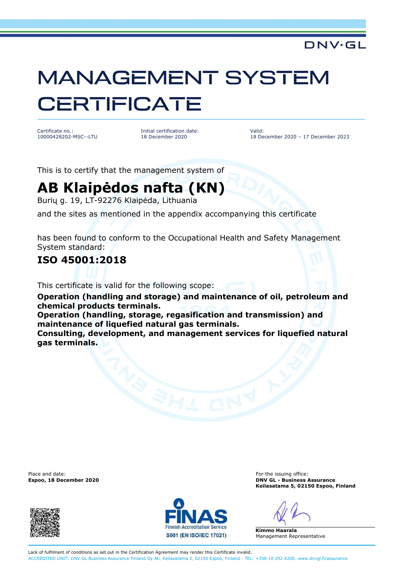### DNV·GL

# MANAGEMENT SYSTEM **CERTIFICATE**

Certificate no.: 10000428202-MSC--LTU Initial certification date: 18 December 2020

Valid: 18 December 2020 – 17 December 2023

This is to certify that the management system of

## **AB Klaipėdos nafta (KN)**

Burių g. 19, LT-92276 Klaipėda, Lithuania

and the sites as mentioned in the appendix accompanying this certificate

has been found to conform to the Occupational Health and Safety Management System standard:

#### **ISO 45001:2018**

This certificate is valid for the following scope:

**Operation (handling and storage) and maintenance of oil, petroleum and chemical products terminals.**

**Operation (handling, storage, regasification and transmission) and maintenance of liquefied natural gas terminals.**

**Consulting, development, and management services for liquefied natural gas terminals.**

Place and date: For the issuing office: For the issuing office:





**Espoo, 18 December 2020 DNV GL - Business Assurance Keilasatama 5, 02150 Espoo, Finland** 

**Kimmo Haarala**  Management Representative

Lack of fulfilment of conditions as set out in the Certification Agreement may render this Certificate invalid. ACCREDITED UNIT: DNV GL Business Assurance Finland Oy Ab, Keilasatama 5, 02150 Espoo, Finland - TEL: +358 10 292 4200. www.dnvgl.fi/assurance